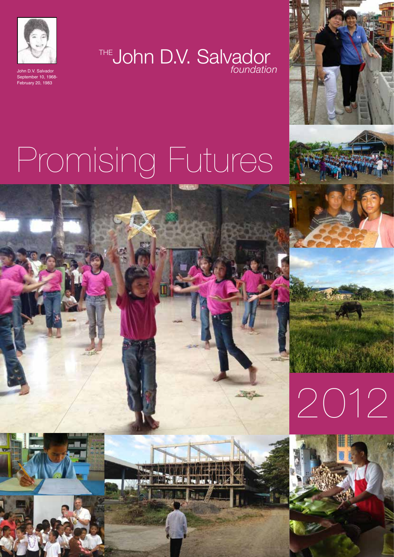

September 10, 1968- February 20, 1983

THE**John D.V. Salvador** John D.V. Salvador *foundation*



# Promising Futures





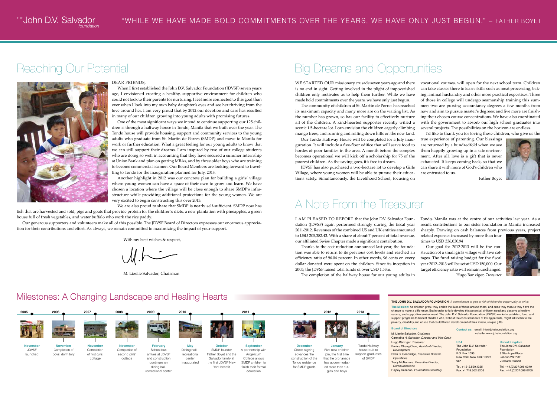#### Reaching Our Potential

#### Dear Friends,

When I first established the John D.V. Salvador Foundation (JDVSF) seven years ago, I envisioned creating a healthy, supportive environment for children who could not look to their parents for nurturing. I feel more connected to this goal than ever when I look into my own baby daughter's eyes and see her thriving from the love around her. I am very proud that by 2012 our devotion and care has resulted in many of our children growing into young adults with promising futures.

One of the most significant ways we intend to continue supporting our 125 children is through a halfway house in Tondo, Manila that we built over the year. The Tondo house will provide housing, support and community services to the young adults who graduate from St. Martin de Porres (SMDP) and move to Manila for work or further education. What a great feeling for our young adults to know that we can still support their dreams. I am inspired by two of our college students who are doing so well in accounting that they have secured a summer internship at Union Bank and plan on getting MBAs, and by three older boys who are training to become commercial seamen. Our Board Members are looking forward to travelling to Tondo for the inauguration planned for July, 2013.

Another highlight in 2012 was our concrete plan for building a girls' village where young women can have a space of their own to grow and learn. We have chosen a location where the village will be close enough to share SMDP's infrastructure while providing additional protections for the young women. We are very excited to begin constructing this over 2013.

We are also proud to share that SMDP is nearly self-sufficient. SMDP now has fish that are harvested and sold, pigs and goats that provide protein for the children's diets, a new plantation with pineapples, a green house full of fresh vegetables, and water buffalo who work the rice paddy.

WE STARTED OUR missionary crusade seven years ago and there is no end in sight. Getting involved in the plight of impoverished children only motivates us to help them further. While we have made bold commitments over the years, we have only just begun. The community of children at St. Martin de Porres has reached its maximum capacity and many more are on the waiting list. As the number has grown, so has our facility to effectively nurture all of the children. A kind-hearted supporter recently willed a scenic 1.5-hectare lot. I can envision the children eagerly climbing vocational courses, will open for the next school term. Children can take classes there to learn skills such as meat processing, baking, animal husbandry and other more practical expertises. Three of those in college will undergo seamanship training this summer; two are pursing accountancy degrees a few months from now and aim to pursue master's degrees; and five more are finishing their chosen course concentrations. We have also coordinated with the government to absorb our high school graduates into several projects. The possibilities on the horizon are endless.

Our generous supporters and volunteers make all of this possible. The JDVSF Board of Directors expresses our enormous appreciation for their contributions and effort. As always, we remain committed to maximizing the impact of your support.

With my best wishes & respect,

M. Lizelle Salvador, Chairman

I AM PLEASED TO REPORT that the John D.V. Salvador Foundation (JDVSF) again performed strongly during the fiscal year 2011-2012. Revenues of the combined US and UK entities amounted to USD 205,382.43. With a share of about 7 percent of total revenue, our affiliated Swiss Chapter made a significant contribution. Tondo, Manila was at the centre of our activities last year. As a result, contributions to our sister foundation in Manila increased sharply. Drawing on cash balances from previous years, project related expenses increased by more than four times to USD 336,030.94

Our Tondo Halfway House will be completed for a July inauguration. It will include a five-floor edifice that will serve food to hordes of poor families in the area. A month before the complex becomes operational we will kick off a scholarship for 75 of the poorest children. As the saying goes, it's free to dream.

JDVSF has also purchased a two-hectare lot to develop a Girls Village, where young women will be able to pursue their educations safely. Simultaneously, the Livelihood School, focusing on

mango trees, and running and rolling down hills on the new land. I'd like to thank you for loving these children, who give us the

> The John D.V. Salvador Foundation 9 Stanhope Place London W2 7UT UNITED KINGDOM

true experience of parenting. Our blessings are returned by a hundredfold when we see them happily growing up in a safe environment. After all, love is a gift that is never exhausted. It keeps coming back, so that we can share it with more of God's children who are entrusted to us.



Father Boyet

#### Milestones: A Changing Landscape and Healing Hearts

Thanks to the cost reduction announced last year, the foundation was able to return to its previous cost levels and reached an efficiency ratio of 96.04 percent. In other words, 96 cents on every dollar donated were spent on the children. Since its inception in 2005, the JDVSF raised total funds of over USD 1.53m.

The completion of the halfway house for our young adults in

Our goal for 2012-2013 will be the construction of a small girl's village with two cottages. The fund raising budget for the fiscal year 2012–2013 will be set at USD 150,000. Our target efficiency ratio will remain unchanged. Hugo Banziger, *Treasurer*



**THE JOHN D.V. SALVADOR FOUNDATION** A commitment to give at risk children the opportunity to thrive

## A Note From the Treasurer

## Big Dreams and Opportunities



**The Mission:** As children grow, they enrich the lives of those around them, and once they mature they have the chance to make a difference. But in order to fully develop this potential, children need and deserve a healthy, secure, and supportive environment. The John D.V. Salvador Foundation (JDVSF) works to establish, fund, and support programs to benefit children who, without the consistent care of loving parents, might fall victim to the poverty, disability,and abuse that could thwart development of their innate, unique gifts.

**USA** The John D.V. Salvador Foundation P.O. Box 1093 New York, New York 10276 USA

Tel. +1.212.529.1225 Fax. +1.718.502.9206

#### **United Kingdom**

Tel. +44.(0)207.096.0349 Fax. +44.(0)207.096.0705

**Contact us:** email: info@jdvsfoundation.org website: www.jdvsfoundation.org

*foundation*